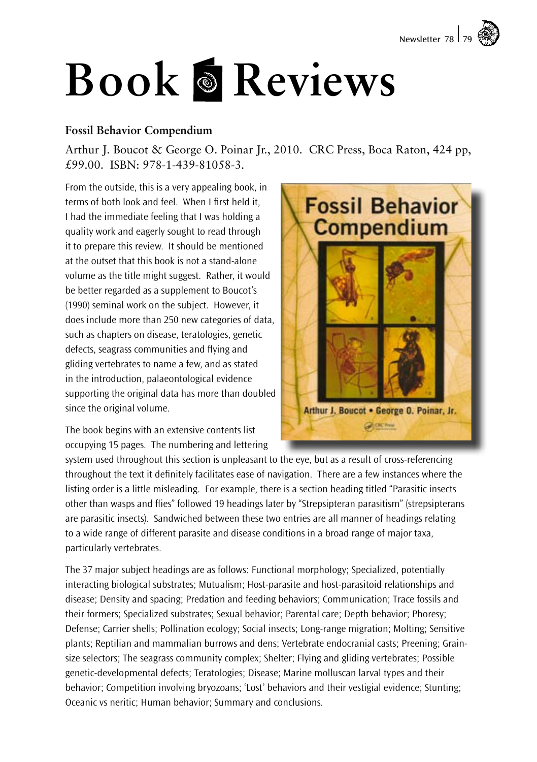

# **Book Reviews**

## **Fossil Behavior Compendium**

Arthur J. Boucot & George O. Poinar Jr., 2010. CRC Press, Boca Raton, 424 pp, £99.00. ISBN: 978-1-439-81058-3.

From the outside, this is a very appealing book, in terms of both look and feel. When I first held it, I had the immediate feeling that I was holding a quality work and eagerly sought to read through it to prepare this review. It should be mentioned at the outset that this book is not a stand-alone volume as the title might suggest. Rather, it would be better regarded as a supplement to Boucot's (1990) seminal work on the subject. However, it does include more than 250 new categories of data, such as chapters on disease, teratologies, genetic defects, seagrass communities and flying and gliding vertebrates to name a few, and as stated in the introduction, palaeontological evidence supporting the original data has more than doubled since the original volume.

The book begins with an extensive contents list occupying 15 pages. The numbering and lettering



system used throughout this section is unpleasant to the eye, but as a result of cross-referencing throughout the text it definitely facilitates ease of navigation. There are a few instances where the listing order is a little misleading. For example, there is a section heading titled "Parasitic insects other than wasps and flies" followed 19 headings later by "Strepsipteran parasitism" (strepsipterans are parasitic insects). Sandwiched between these two entries are all manner of headings relating to a wide range of different parasite and disease conditions in a broad range of major taxa, particularly vertebrates.

The 37 major subject headings are as follows: Functional morphology; Specialized, potentially interacting biological substrates; Mutualism; Host-parasite and host-parasitoid relationships and disease; Density and spacing; Predation and feeding behaviors; Communication; Trace fossils and their formers; Specialized substrates; Sexual behavior; Parental care; Depth behavior; Phoresy; Defense; Carrier shells; Pollination ecology; Social insects; Long-range migration; Molting; Sensitive plants; Reptilian and mammalian burrows and dens; Vertebrate endocranial casts; Preening; Grainsize selectors; The seagrass community complex; Shelter; Flying and gliding vertebrates; Possible genetic-developmental defects; Teratologies; Disease; Marine molluscan larval types and their behavior; Competition involving bryozoans; 'Lost' behaviors and their vestigial evidence; Stunting; Oceanic vs neritic; Human behavior; Summary and conclusions.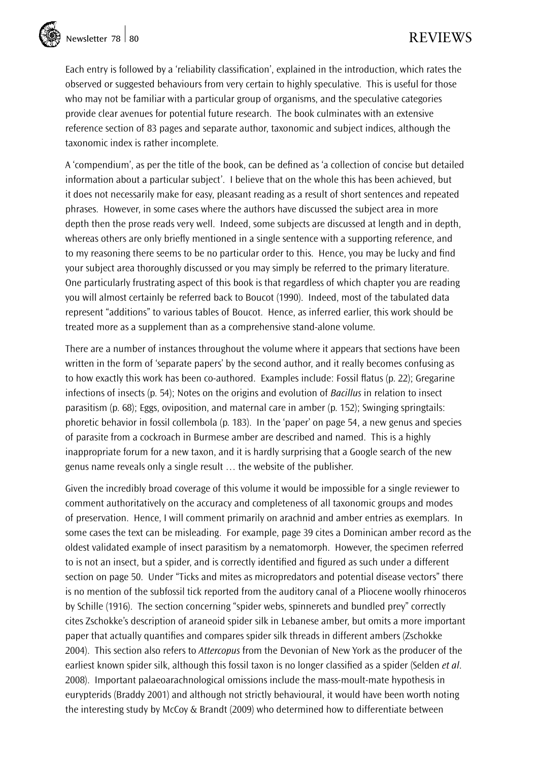Each entry is followed by a 'reliability classification', explained in the introduction, which rates the observed or suggested behaviours from very certain to highly speculative. This is useful for those who may not be familiar with a particular group of organisms, and the speculative categories provide clear avenues for potential future research. The book culminates with an extensive reference section of 83 pages and separate author, taxonomic and subject indices, although the taxonomic index is rather incomplete.

A 'compendium', as per the title of the book, can be defined as 'a collection of concise but detailed information about a particular subject'. I believe that on the whole this has been achieved, but it does not necessarily make for easy, pleasant reading as a result of short sentences and repeated phrases. However, in some cases where the authors have discussed the subject area in more depth then the prose reads very well. Indeed, some subjects are discussed at length and in depth, whereas others are only briefly mentioned in a single sentence with a supporting reference, and to my reasoning there seems to be no particular order to this. Hence, you may be lucky and find your subject area thoroughly discussed or you may simply be referred to the primary literature. One particularly frustrating aspect of this book is that regardless of which chapter you are reading you will almost certainly be referred back to Boucot (1990). Indeed, most of the tabulated data represent "additions" to various tables of Boucot. Hence, as inferred earlier, this work should be treated more as a supplement than as a comprehensive stand-alone volume.

There are a number of instances throughout the volume where it appears that sections have been written in the form of 'separate papers' by the second author, and it really becomes confusing as to how exactly this work has been co-authored. Examples include: Fossil flatus (p. 22); Gregarine infections of insects (p. 54); Notes on the origins and evolution of *Bacillus* in relation to insect parasitism (p. 68); Eggs, oviposition, and maternal care in amber (p. 152); Swinging springtails: phoretic behavior in fossil collembola (p. 183). In the 'paper' on page 54, a new genus and species of parasite from a cockroach in Burmese amber are described and named. This is a highly inappropriate forum for a new taxon, and it is hardly surprising that a Google search of the new genus name reveals only a single result … the website of the publisher.

Given the incredibly broad coverage of this volume it would be impossible for a single reviewer to comment authoritatively on the accuracy and completeness of all taxonomic groups and modes of preservation. Hence, I will comment primarily on arachnid and amber entries as exemplars. In some cases the text can be misleading. For example, page 39 cites a Dominican amber record as the oldest validated example of insect parasitism by a nematomorph. However, the specimen referred to is not an insect, but a spider, and is correctly identified and figured as such under a different section on page 50. Under "Ticks and mites as micropredators and potential disease vectors" there is no mention of the subfossil tick reported from the auditory canal of a Pliocene woolly rhinoceros by Schille (1916). The section concerning "spider webs, spinnerets and bundled prey" correctly cites Zschokke's description of araneoid spider silk in Lebanese amber, but omits a more important paper that actually quantifies and compares spider silk threads in different ambers (Zschokke 2004). This section also refers to *Attercopus* from the Devonian of New York as the producer of the earliest known spider silk, although this fossil taxon is no longer classified as a spider (Selden *et al*. 2008). Important palaeoarachnological omissions include the mass-moult-mate hypothesis in eurypterids (Braddy 2001) and although not strictly behavioural, it would have been worth noting the interesting study by McCoy & Brandt (2009) who determined how to differentiate between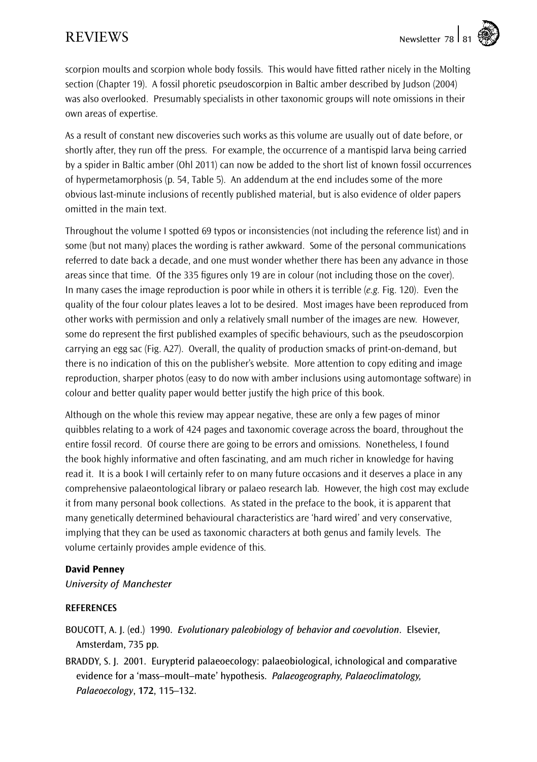scorpion moults and scorpion whole body fossils. This would have fitted rather nicely in the Molting section (Chapter 19). A fossil phoretic pseudoscorpion in Baltic amber described by Judson (2004) was also overlooked. Presumably specialists in other taxonomic groups will note omissions in their own areas of expertise.

As a result of constant new discoveries such works as this volume are usually out of date before, or shortly after, they run off the press. For example, the occurrence of a mantispid larva being carried by a spider in Baltic amber (Ohl 2011) can now be added to the short list of known fossil occurrences of hypermetamorphosis (p. 54, Table 5). An addendum at the end includes some of the more obvious last-minute inclusions of recently published material, but is also evidence of older papers omitted in the main text.

Throughout the volume I spotted 69 typos or inconsistencies (not including the reference list) and in some (but not many) places the wording is rather awkward. Some of the personal communications referred to date back a decade, and one must wonder whether there has been any advance in those areas since that time. Of the 335 figures only 19 are in colour (not including those on the cover). In many cases the image reproduction is poor while in others it is terrible (*e.g.* Fig. 120). Even the quality of the four colour plates leaves a lot to be desired. Most images have been reproduced from other works with permission and only a relatively small number of the images are new. However, some do represent the first published examples of specific behaviours, such as the pseudoscorpion carrying an egg sac (Fig. A27). Overall, the quality of production smacks of print-on-demand, but there is no indication of this on the publisher's website. More attention to copy editing and image reproduction, sharper photos (easy to do now with amber inclusions using automontage software) in colour and better quality paper would better justify the high price of this book.

Although on the whole this review may appear negative, these are only a few pages of minor quibbles relating to a work of 424 pages and taxonomic coverage across the board, throughout the entire fossil record. Of course there are going to be errors and omissions. Nonetheless, I found the book highly informative and often fascinating, and am much richer in knowledge for having read it. It is a book I will certainly refer to on many future occasions and it deserves a place in any comprehensive palaeontological library or palaeo research lab. However, the high cost may exclude it from many personal book collections. As stated in the preface to the book, it is apparent that many genetically determined behavioural characteristics are 'hard wired' and very conservative, implying that they can be used as taxonomic characters at both genus and family levels. The volume certainly provides ample evidence of this.

### David Penney

*University of Manchester*

#### **REFERENCES**

- Boucott, A. J. (ed.) 1990. *Evolutionary paleobiology of behavior and coevolution*. Elsevier, Amsterdam, 735 pp.
- Braddy, S. J. 2001. Eurypterid palaeoecology: palaeobiological, ichnological and comparative evidence for a 'mass–moult–mate' hypothesis. *Palaeogeography, Palaeoclimatology, Palaeoecology*, 172, 115–132.